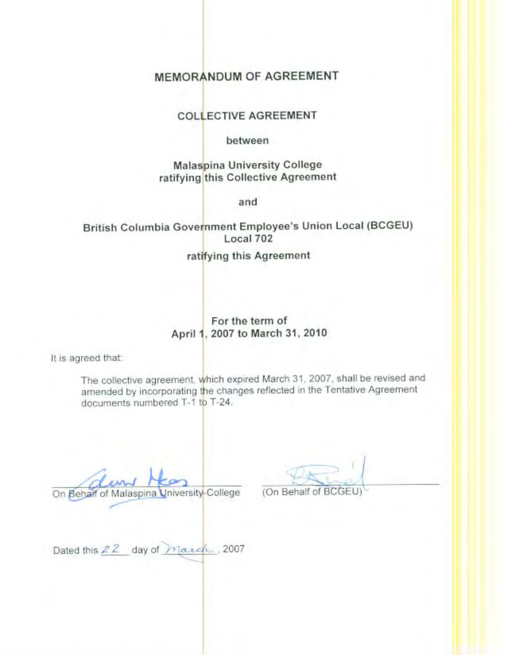## **MEMORANDUM OF AGREEMENT**

### **COLLECTIVE AGREEMENT**

between

**Malaspina University College** ratifying this Collective Agreement

and

## British Columbia Government Employee's Union Local (BCGEU) Local 702

ratifying this Agreement

### For the term of April 1, 2007 to March 31, 2010

It is agreed that:

The collective agreement, which expired March 31, 2007, shall be revised and amended by incorporating the changes reflected in the Tentative Agreement documents numbered T-1 to T-24.

On Behalf of Malaspina University-College

(On Behalf of BO

Dated this 22 day of march, 2007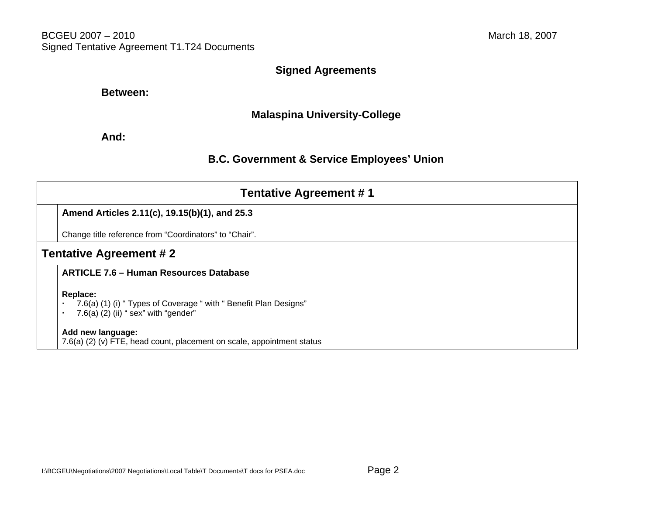### **Signed Agreements**

### **Between:**

### **Malaspina University-College**

### **And:**

## **B.C. Government & Service Employees' Union**

|                               | <b>Tentative Agreement #1</b>                                                                                          |  |  |  |
|-------------------------------|------------------------------------------------------------------------------------------------------------------------|--|--|--|
|                               | Amend Articles 2.11(c), 19.15(b)(1), and 25.3                                                                          |  |  |  |
|                               | Change title reference from "Coordinators" to "Chair".                                                                 |  |  |  |
| <b>Tentative Agreement #2</b> |                                                                                                                        |  |  |  |
|                               | <b>ARTICLE 7.6 - Human Resources Database</b>                                                                          |  |  |  |
|                               | Replace:<br>7.6(a) (1) (i) "Types of Coverage " with " Benefit Plan Designs"<br>7.6(a) $(2)$ (ii) " sex" with "gender" |  |  |  |
|                               | Add new language:<br>7.6(a) (2) (v) FTE, head count, placement on scale, appointment status                            |  |  |  |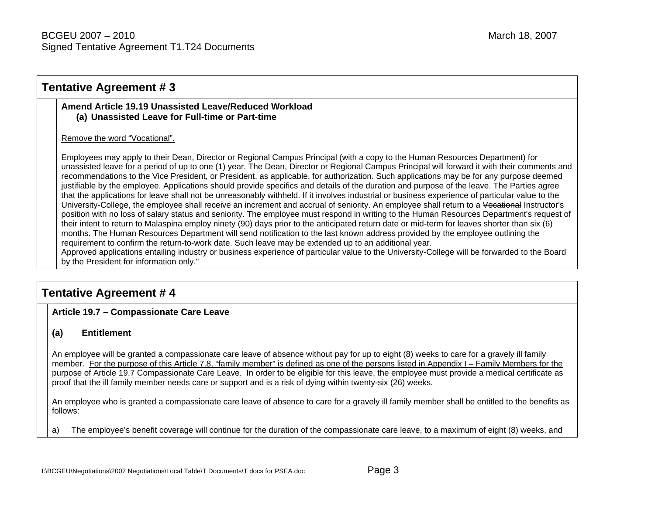### **Tentative Agreement # 3**

### **Amend Article 19.19 Unassisted Leave/Reduced Workload (a) Unassisted Leave for Full-time or Part-time**

### Remove the word "Vocational".

Employees may apply to their Dean, Director or Regional Campus Principal (with a copy to the Human Resources Department) for unassisted leave for a period of up to one (1) year. The Dean, Director or Regional Campus Principal will forward it with their comments and recommendations to the Vice President, or President, as applicable, for authorization. Such applications may be for any purpose deemed justifiable by the employee. Applications should provide specifics and details of the duration and purpose of the leave. The Parties agree that the applications for leave shall not be unreasonably withheld. If it involves industrial or business experience of particular value to the University-College, the employee shall receive an increment and accrual of seniority. An employee shall return to a Vocational Instructor's position with no loss of salary status and seniority. The employee must respond in writing to the Human Resources Department's request of their intent to return to Malaspina employ ninety (90) days prior to the anticipated return date or mid-term for leaves shorter than six (6) months. The Human Resources Department will send notification to the last known address provided by the employee outlining the requirement to confirm the return-to-work date. Such leave may be extended up to an additional year.

Approved applications entailing industry or business experience of particular value to the University-College will be forwarded to the Board by the President for information only."

## **Tentative Agreement # 4**

### **Article 19.7 – Compassionate Care Leave**

### **(a) Entitlement**

An employee will be granted a compassionate care leave of absence without pay for up to eight (8) weeks to care for a gravely ill family member. For the purpose of this Article 7.8, "family member" is defined as one of the persons listed in Appendix I – Family Members for the purpose of Article 19.7 Compassionate Care Leave. In order to be eligible for this leave, the employee must provide a medical certificate as proof that the ill family member needs care or support and is a risk of dying within twenty-six (26) weeks.

An employee who is granted a compassionate care leave of absence to care for a gravely ill family member shall be entitled to the benefits as follows:

a) The employee's benefit coverage will continue for the duration of the compassionate care leave, to a maximum of eight (8) weeks, and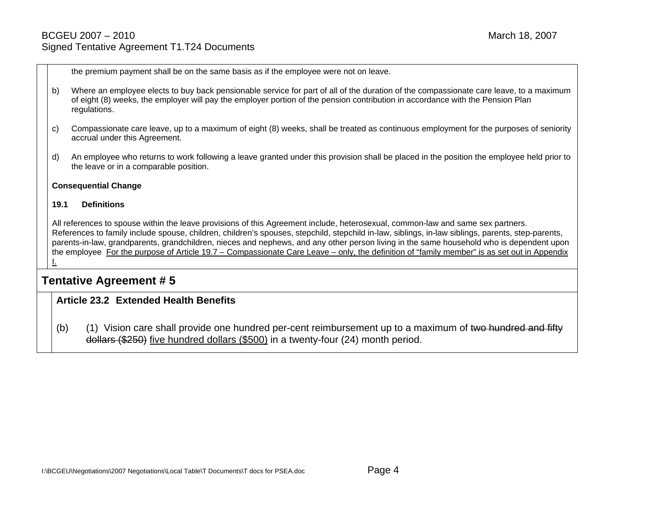the premium payment shall be on the same basis as if the employee were not on leave.

- b) Where an employee elects to buy back pensionable service for part of all of the duration of the compassionate care leave, to a maximum of eight (8) weeks, the employer will pay the employer portion of the pension contribution in accordance with the Pension Plan regulations.
- c) Compassionate care leave, up to a maximum of eight (8) weeks, shall be treated as continuous employment for the purposes of seniority accrual under this Agreement.
- d) An employee who returns to work following a leave granted under this provision shall be placed in the position the employee held prior to the leave or in a comparable position.

#### **Consequential Change**

#### **19.1 Definitions**

All references to spouse within the leave provisions of this Agreement include, heterosexual, common-law and same sex partners. References to family include spouse, children, children's spouses, stepchild, stepchild in-law, siblings, in-law siblings, parents, step-parents, parents-in-law, grandparents, grandchildren, nieces and nephews, and any other person living in the same household who is dependent upon the employee For the purpose of Article 19.7 – Compassionate Care Leave – only, the definition of "family member" is as set out in Appendix I.

### **Tentative Agreement # 5**

### **Article 23.2 Extended Health Benefits**

(b) (1) Vision care shall provide one hundred per-cent reimbursement up to a maximum of two hundred and fifty dollars (\$250) five hundred dollars (\$500) in a twenty-four (24) month period.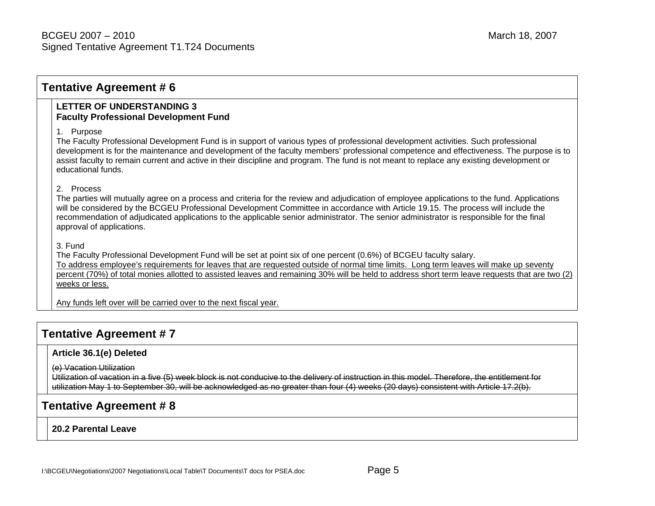### **Tentative Agreement # 6**

### **LETTER OF UNDERSTANDING 3 Faculty Professional Development Fund**

1. Purpose

The Faculty Professional Development Fund is in support of various types of professional development activities. Such professional development is for the maintenance and development of the faculty members' professional competence and effectiveness. The purpose is to assist faculty to remain current and active in their discipline and program. The fund is not meant to replace any existing development or educational funds.

### 2. Process

The parties will mutually agree on a process and criteria for the review and adjudication of employee applications to the fund. Applications will be considered by the BCGEU Professional Development Committee in accordance with Article 19.15. The process will include the recommendation of adjudicated applications to the applicable senior administrator. The senior administrator is responsible for the final approval of applications.

### 3. Fund

The Faculty Professional Development Fund will be set at point six of one percent (0.6%) of BCGEU faculty salary. To address employee's requirements for leaves that are requested outside of normal time limits. Long term leaves will make up seventy percent (70%) of total monies allotted to assisted leaves and remaining 30% will be held to address short term leave requests that are two (2) weeks or less.

Any funds left over will be carried over to the next fiscal year.

## **Tentative Agreement # 7**

### **Article 36.1(e) Deleted**

(e) Vacation Utilization

Utilization of vacation in a five (5) week block is not conducive to the delivery of instruction in this model. Therefore, the entitlement for utilization May 1 to September 30, will be acknowledged as no greater than four (4) weeks (20 days) consistent with Article 17.2(b).

## **Tentative Agreement # 8**

**20.2 Parental Leave**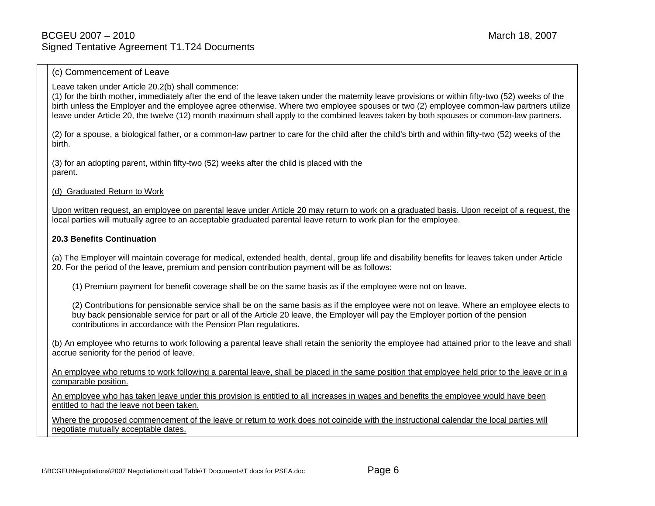#### (c) Commencement of Leave

Leave taken under Article 20.2(b) shall commence:

(1) for the birth mother, immediately after the end of the leave taken under the maternity leave provisions or within fifty-two (52) weeks of the birth unless the Employer and the employee agree otherwise. Where two employee spouses or two (2) employee common-law partners utilize leave under Article 20, the twelve (12) month maximum shall apply to the combined leaves taken by both spouses or common-law partners.

(2) for a spouse, a biological father, or a common-law partner to care for the child after the child's birth and within fifty-two (52) weeks of the birth.

(3) for an adopting parent, within fifty-two (52) weeks after the child is placed with the parent.

#### (d) Graduated Return to Work

Upon written request, an employee on parental leave under Article 20 may return to work on a graduated basis. Upon receipt of a request, the local parties will mutually agree to an acceptable graduated parental leave return to work plan for the employee.

#### **20.3 Benefits Continuation**

(a) The Employer will maintain coverage for medical, extended health, dental, group life and disability benefits for leaves taken under Article 20. For the period of the leave, premium and pension contribution payment will be as follows:

(1) Premium payment for benefit coverage shall be on the same basis as if the employee were not on leave.

(2) Contributions for pensionable service shall be on the same basis as if the employee were not on leave. Where an employee elects to buy back pensionable service for part or all of the Article 20 leave, the Employer will pay the Employer portion of the pension contributions in accordance with the Pension Plan regulations.

(b) An employee who returns to work following a parental leave shall retain the seniority the employee had attained prior to the leave and shall accrue seniority for the period of leave.

An employee who returns to work following a parental leave, shall be placed in the same position that employee held prior to the leave or in a comparable position.

An employee who has taken leave under this provision is entitled to all increases in wages and benefits the employee would have been entitled to had the leave not been taken.

Where the proposed commencement of the leave or return to work does not coincide with the instructional calendar the local parties will negotiate mutually acceptable dates.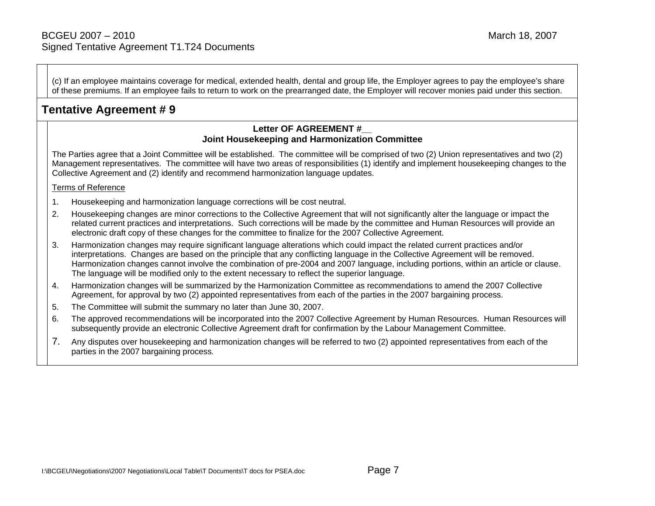(c) If an employee maintains coverage for medical, extended health, dental and group life, the Employer agrees to pay the employee's share of these premiums. If an employee fails to return to work on the prearranged date, the Employer will recover monies paid under this section.

## **Tentative Agreement # 9**

### **Letter OF AGREEMENT #\_\_ Joint Housekeeping and Harmonization Committee**

The Parties agree that a Joint Committee will be established. The committee will be comprised of two (2) Union representatives and two (2) Management representatives. The committee will have two areas of responsibilities (1) identify and implement housekeeping changes to the Collective Agreement and (2) identify and recommend harmonization language updates.

### Terms of Reference

- 1. Housekeeping and harmonization language corrections will be cost neutral.
- 2. Housekeeping changes are minor corrections to the Collective Agreement that will not significantly alter the language or impact the related current practices and interpretations. Such corrections will be made by the committee and Human Resources will provide an electronic draft copy of these changes for the committee to finalize for the 2007 Collective Agreement.
- 3. Harmonization changes may require significant language alterations which could impact the related current practices and/or interpretations. Changes are based on the principle that any conflicting language in the Collective Agreement will be removed. Harmonization changes cannot involve the combination of pre-2004 and 2007 language, including portions, within an article or clause. The language will be modified only to the extent necessary to reflect the superior language.
- 4. Harmonization changes will be summarized by the Harmonization Committee as recommendations to amend the 2007 Collective Agreement, for approval by two (2) appointed representatives from each of the parties in the 2007 bargaining process.
- 5. The Committee will submit the summary no later than June 30, 2007.
- 6. The approved recommendations will be incorporated into the 2007 Collective Agreement by Human Resources. Human Resources will subsequently provide an electronic Collective Agreement draft for confirmation by the Labour Management Committee.
- 7. Any disputes over housekeeping and harmonization changes will be referred to two (2) appointed representatives from each of the parties in the 2007 bargaining process.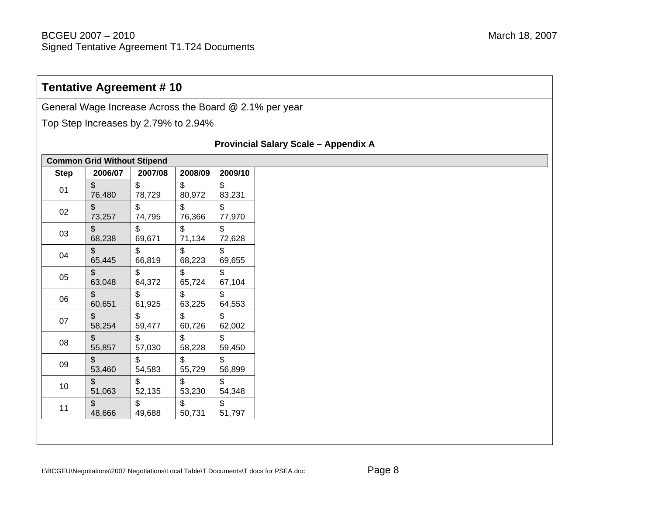## **Tentative Agreement # 10**

General Wage Increase Across the Board @ 2.1% per year

Top Step Increases by 2.79% to 2.94%

### **Provincial Salary Scale – Appendix A**

| <b>Step</b> | 2006/07                 | 2007/08                   | 2008/09 | 2009/10 |
|-------------|-------------------------|---------------------------|---------|---------|
| 01          | $\sqrt[6]{\frac{1}{2}}$ | $\boldsymbol{\mathsf{S}}$ | \$      | \$      |
|             | 76,480                  | 78,729                    | 80,972  | 83,231  |
| 02          | \$                      | \$                        | \$      | \$      |
|             | 73,257                  | 74,795                    | 76,366  | 77,970  |
| 03          | $\frac{1}{2}$           | $\mathfrak{S}$            | \$      | \$      |
|             | 68,238                  | 69,671                    | 71,134  | 72,628  |
| 04          | \$                      | \$                        | \$      | \$      |
|             | 65,445                  | 66,819                    | 68,223  | 69,655  |
| 05          | \$                      | \$                        | \$      | \$      |
|             | 63,048                  | 64,372                    | 65,724  | 67,104  |
| 06          | $\frac{1}{2}$           | \$                        | \$      | \$      |
|             | 60,651                  | 61,925                    | 63,225  | 64,553  |
| 07          | \$                      | $\boldsymbol{\mathsf{S}}$ | \$      | \$      |
|             | 58,254                  | 59,477                    | 60,726  | 62,002  |
| 08          | \$                      | $\mathfrak{S}$            | \$      | \$      |
|             | 55,857                  | 57,030                    | 58,228  | 59,450  |
| 09          | $\frac{1}{2}$           | \$                        | \$      | \$      |
|             | 53,460                  | 54,583                    | 55,729  | 56,899  |
| 10          | \$                      | \$                        | \$      | \$      |
|             | 51,063                  | 52,135                    | 53,230  | 54,348  |
| 11          | \$                      | \$                        | \$      | \$      |
|             | 48,666                  | 49,688                    | 50,731  | 51,797  |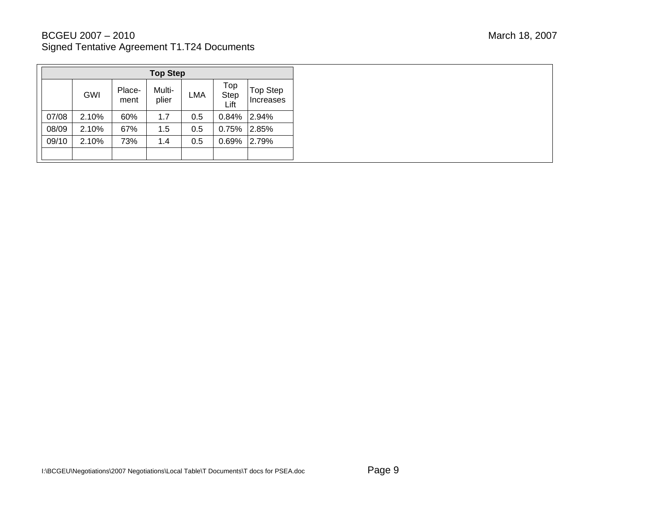| <b>Top Step</b> |       |                |                 |            |                     |                       |
|-----------------|-------|----------------|-----------------|------------|---------------------|-----------------------|
|                 | GWI   | Place-<br>ment | Multi-<br>plier | <b>LMA</b> | Top<br>Step<br>Lift | Top Step<br>Increases |
| 07/08           | 2.10% | 60%            | 1.7             | 0.5        | 0.84%               | 2.94%                 |
| 08/09           | 2.10% | 67%            | 1.5             | 0.5        | $0.75\%$            | 2.85%                 |
| 09/10           | 2.10% | 73%            | 1.4             | 0.5        | 0.69%               | 2.79%                 |
|                 |       |                |                 |            |                     |                       |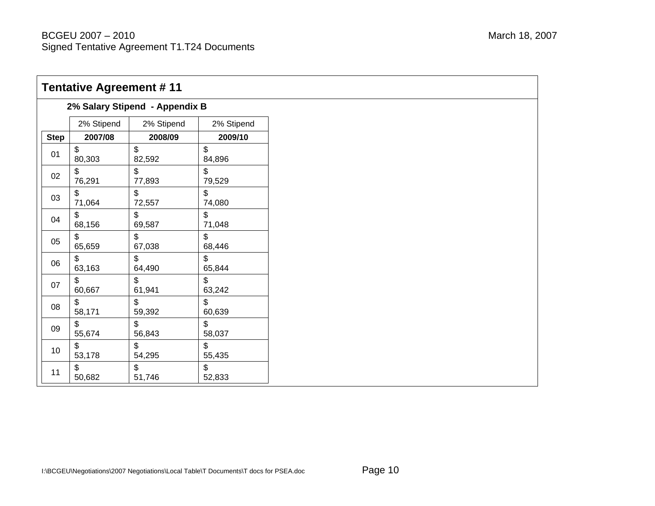| <b>Tentative Agreement #11</b> |                                |            |                |  |  |  |
|--------------------------------|--------------------------------|------------|----------------|--|--|--|
|                                | 2% Salary Stipend - Appendix B |            |                |  |  |  |
|                                | 2% Stipend                     | 2% Stipend | 2% Stipend     |  |  |  |
| <b>Step</b>                    | 2007/08                        | 2008/09    | 2009/10        |  |  |  |
| 01                             | \$                             | \$         | \$             |  |  |  |
|                                | 80,303                         | 82,592     | 84,896         |  |  |  |
| 02                             | \$                             | \$         | \$             |  |  |  |
|                                | 76,291                         | 77,893     | 79,529         |  |  |  |
| 03                             | \$                             | \$         | \$             |  |  |  |
|                                | 71,064                         | 72,557     | 74,080         |  |  |  |
| 04                             | $\mathfrak{S}$                 | \$         | \$             |  |  |  |
|                                | 68,156                         | 69,587     | 71,048         |  |  |  |
| 05                             | \$                             | \$         | \$             |  |  |  |
|                                | 65,659                         | 67,038     | 68,446         |  |  |  |
| 06                             | $\mathbb{S}$                   | \$         | $\mathfrak{S}$ |  |  |  |
|                                | 63,163                         | 64,490     | 65,844         |  |  |  |
| 07                             | \$                             | \$         | \$             |  |  |  |
|                                | 60,667                         | 61,941     | 63,242         |  |  |  |
| 08                             | \$                             | \$         | $\mathbb{S}$   |  |  |  |
|                                | 58,171                         | 59,392     | 60,639         |  |  |  |
| 09                             | \$                             | \$         | \$             |  |  |  |
|                                | 55,674                         | 56,843     | 58,037         |  |  |  |
| 10 <sup>°</sup>                | $\mathfrak{L}$                 | \$         | $\mathfrak{S}$ |  |  |  |
|                                | 53,178                         | 54,295     | 55,435         |  |  |  |
| 11                             | \$                             | \$         | \$             |  |  |  |
|                                | 50,682                         | 51,746     | 52,833         |  |  |  |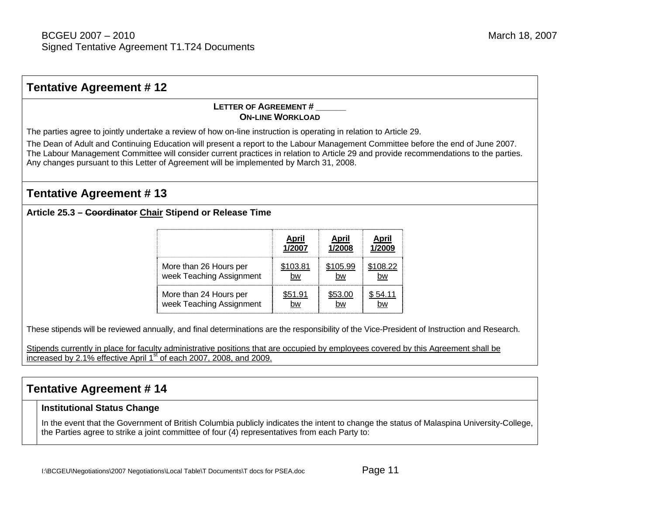#### **Tentative Agreement # 12 LETTER OF AGREEMENT #\_\_\_\_\_\_ ON-LINE WORKLOAD**The parties agree to jointly undertake a review of how on-line instruction is operating in relation to Article 29. The Dean of Adult and Continuing Education will present a report to the Labour Management Committee before the end of June 2007. The Labour Management Committee will consider current practices in relation to Article 29 and provide recommendations to the parties. Any changes pursuant to this Letter of Agreement will be implemented by March 31, 2008. **Tentative Agreement # 13 Article 25.3 – Coordinator Chair Stipend or Release Time April 1/2007 April 1/2008April 1/2009**More than 26 Hours per week Teaching Assignment \$103.81 bw\$105.99 bw\$108.22 bwMore than 24 Hours per week Teaching Assignment \$51.91 bw\$53.00 bw\$ 54.11 bwThese stipends will be reviewed annually, and final determinations are the responsibility of the Vice-President of Instruction and Research. Stipends currently in place for faculty administrative positions that are occupied by employees covered by this Agreement shall be increased by 2.1% effective April  $1<sup>st</sup>$  of each 2007, 2008, and 2009. **Tentative Agreement # 14**

### **Institutional Status Change**

In the event that the Government of British Columbia publicly indicates the intent to change the status of Malaspina University-College, the Parties agree to strike a joint committee of four (4) representatives from each Party to: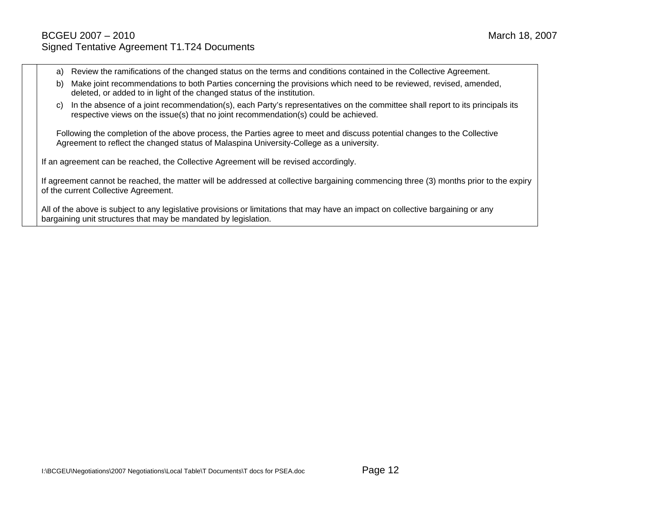- a) Review the ramifications of the changed status on the terms and conditions contained in the Collective Agreement.
- b) Make joint recommendations to both Parties concerning the provisions which need to be reviewed, revised, amended, deleted, or added to in light of the changed status of the institution.
- c) In the absence of a joint recommendation(s), each Party's representatives on the committee shall report to its principals its respective views on the issue(s) that no joint recommendation(s) could be achieved.

Following the completion of the above process, the Parties agree to meet and discuss potential changes to the Collective Agreement to reflect the changed status of Malaspina University-College as a university.

If an agreement can be reached, the Collective Agreement will be revised accordingly.

If agreement cannot be reached, the matter will be addressed at collective bargaining commencing three (3) months prior to the expiry of the current Collective Agreement.

All of the above is subject to any legislative provisions or limitations that may have an impact on collective bargaining or any bargaining unit structures that may be mandated by legislation.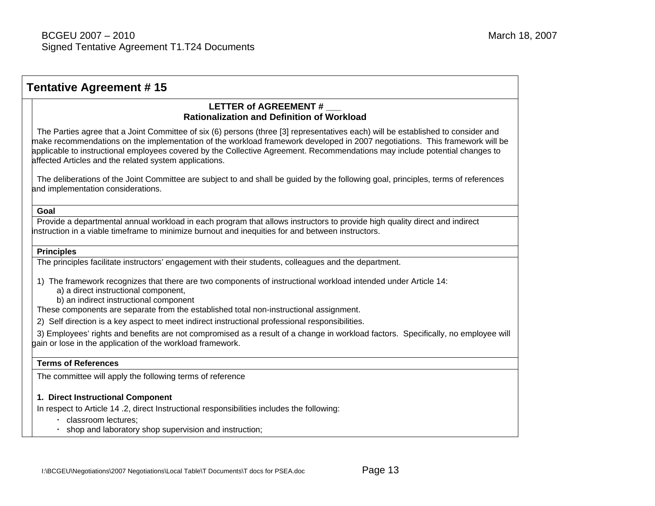| <b>Tentative Agreement #15</b>                                                                                                                                                                                                                                                                                                                                                                                                                           |  |  |  |  |
|----------------------------------------------------------------------------------------------------------------------------------------------------------------------------------------------------------------------------------------------------------------------------------------------------------------------------------------------------------------------------------------------------------------------------------------------------------|--|--|--|--|
| LETTER of AGREEMENT #<br><b>Rationalization and Definition of Workload</b>                                                                                                                                                                                                                                                                                                                                                                               |  |  |  |  |
| The Parties agree that a Joint Committee of six (6) persons (three [3] representatives each) will be established to consider and<br>make recommendations on the implementation of the workload framework developed in 2007 negotiations. This framework will be<br>applicable to instructional employees covered by the Collective Agreement. Recommendations may include potential changes to<br>affected Articles and the related system applications. |  |  |  |  |
| The deliberations of the Joint Committee are subject to and shall be guided by the following goal, principles, terms of references<br>and implementation considerations.                                                                                                                                                                                                                                                                                 |  |  |  |  |
| Goal                                                                                                                                                                                                                                                                                                                                                                                                                                                     |  |  |  |  |
| Provide a departmental annual workload in each program that allows instructors to provide high quality direct and indirect<br>instruction in a viable timeframe to minimize burnout and inequities for and between instructors.                                                                                                                                                                                                                          |  |  |  |  |
| <b>Principles</b>                                                                                                                                                                                                                                                                                                                                                                                                                                        |  |  |  |  |
| The principles facilitate instructors' engagement with their students, colleagues and the department.                                                                                                                                                                                                                                                                                                                                                    |  |  |  |  |
| 1) The framework recognizes that there are two components of instructional workload intended under Article 14:<br>a) a direct instructional component,<br>b) an indirect instructional component<br>These components are separate from the established total non-instructional assignment.                                                                                                                                                               |  |  |  |  |
| 2) Self direction is a key aspect to meet indirect instructional professional responsibilities.                                                                                                                                                                                                                                                                                                                                                          |  |  |  |  |
| 3) Employees' rights and benefits are not compromised as a result of a change in workload factors. Specifically, no employee will<br>gain or lose in the application of the workload framework.                                                                                                                                                                                                                                                          |  |  |  |  |
| <b>Terms of References</b>                                                                                                                                                                                                                                                                                                                                                                                                                               |  |  |  |  |
| The committee will apply the following terms of reference                                                                                                                                                                                                                                                                                                                                                                                                |  |  |  |  |
| 1. Direct Instructional Component                                                                                                                                                                                                                                                                                                                                                                                                                        |  |  |  |  |
| In respect to Article 14 .2, direct Instructional responsibilities includes the following:                                                                                                                                                                                                                                                                                                                                                               |  |  |  |  |
| classroom lectures;<br>$\bullet$<br>shop and laboratory shop supervision and instruction;                                                                                                                                                                                                                                                                                                                                                                |  |  |  |  |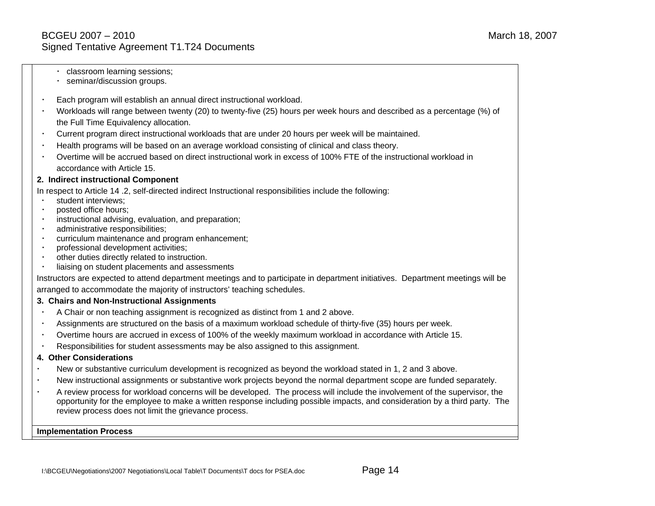- classroom learning sessions;
- seminar/discussion groups.
- Each program will establish an annual direct instructional workload.
- Workloads will range between twenty (20) to twenty-five (25) hours per week hours and described as a percentage (%) of the Full Time Equivalency allocation.
- Current program direct instructional workloads that are under 20 hours per week will be maintained.
- Health programs will be based on an average workload consisting of clinical and class theory.
- Overtime will be accrued based on direct instructional work in excess of 100% FTE of the instructional workload in accordance with Article 15.

### **2. Indirect instructional Component**

In respect to Article 14 .2, self-directed indirect Instructional responsibilities include the following:

- student interviews;
- posted office hours;
- instructional advising, evaluation, and preparation;
- administrative responsibilities;
- curriculum maintenance and program enhancement;
- professional development activities;
- other duties directly related to instruction.
- liaising on student placements and assessments

Instructors are expected to attend department meetings and to participate in department initiatives. Department meetings will be arranged to accommodate the majority of instructors' teaching schedules.

### **3. Chairs and Non-Instructional Assignments**

- A Chair or non teaching assignment is recognized as distinct from 1 and 2 above.
- Assignments are structured on the basis of a maximum workload schedule of thirty-five (35) hours per week.
- Overtime hours are accrued in excess of 100% of the weekly maximum workload in accordance with Article 15.
- Responsibilities for student assessments may be also assigned to this assignment.

### **4. Other Considerations**

- New or substantive curriculum development is recognized as beyond the workload stated in 1, 2 and 3 above.
- New instructional assignments or substantive work projects beyond the normal department scope are funded separately.
- A review process for workload concerns will be developed. The process will include the involvement of the supervisor, the opportunity for the employee to make a written response including possible impacts, and consideration by a third party. The review process does not limit the grievance process.

**Implementation Process**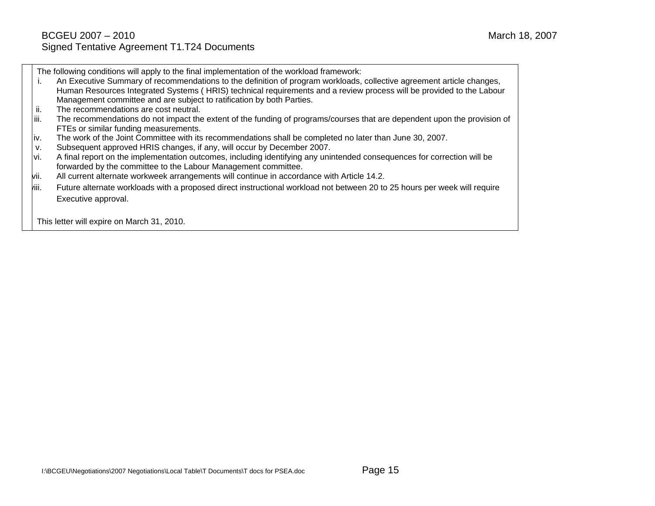The following conditions will apply to the final implementation of the workload framework:

- i. An Executive Summary of recommendations to the definition of program workloads, collective agreement article changes, Human Resources Integrated Systems ( HRIS) technical requirements and a review process will be provided to the Labour Management committee and are subject to ratification by both Parties.
- ii. The recommendations are cost neutral.
- iii. The recommendations do not impact the extent of the funding of programs/courses that are dependent upon the provision of FTEs or similar funding measurements.
- iv. The work of the Joint Committee with its recommendations shall be completed no later than June 30, 2007.
- v. Subsequent approved HRIS changes, if any, will occur by December 2007.
- vi. A final report on the implementation outcomes, including identifying any unintended consequences for correction will be forwarded by the committee to the Labour Management committee.
- vii. All current alternate workweek arrangements will continue in accordance with Article 14.2.
- viii. Future alternate workloads with a proposed direct instructional workload not between 20 to 25 hours per week will require Executive approval.

This letter will expire on March 31, 2010.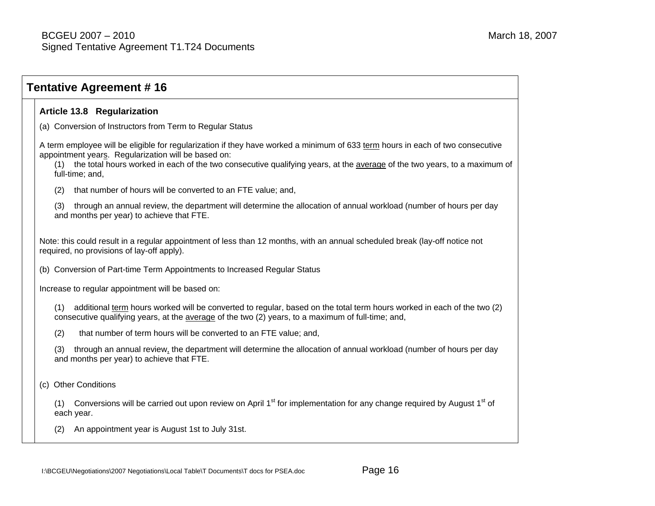# **Tentative Agreement # 16 Article 13.8 Regularization**  (a) Conversion of Instructors from Term to Regular Status A term employee will be eligible for regularization if they have worked a minimum of 633 term hours in each of two consecutive appointment years. Regularization will be based on: (1) the total hours worked in each of the two consecutive qualifying years, at the average of the two years, to a maximum of full-time; and, (2) that number of hours will be converted to an FTE value; and, (3) through an annual review, the department will determine the allocation of annual workload (number of hours per day and months per year) to achieve that FTE. Note: this could result in a regular appointment of less than 12 months, with an annual scheduled break (lay-off notice not required, no provisions of lay-off apply). (b) Conversion of Part-time Term Appointments to Increased Regular Status Increase to regular appointment will be based on: (1) additional term hours worked will be converted to regular, based on the total term hours worked in each of the two (2) consecutive qualifying years, at the average of the two (2) years, to a maximum of full-time; and, (2) that number of term hours will be converted to an FTE value; and, (3) through an annual review, the department will determine the allocation of annual workload (number of hours per day and months per year) to achieve that FTE. (c) Other Conditions (1) Conversions will be carried out upon review on April 1<sup>st</sup> for implementation for any change required by August 1<sup>st</sup> of each year. (2) An appointment year is August 1st to July 31st.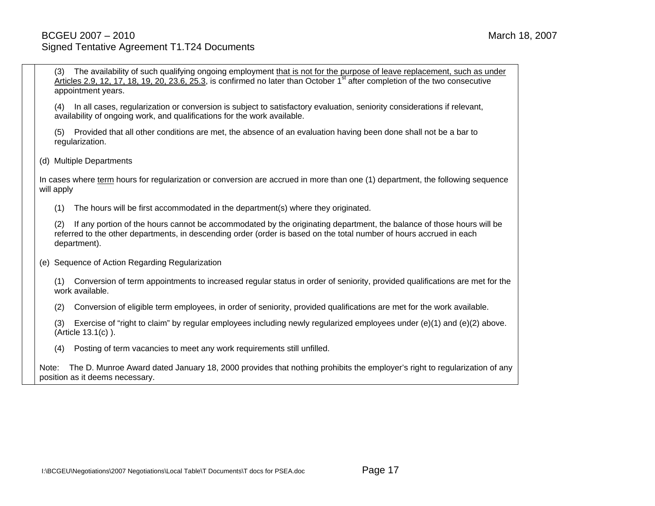(3) The availability of such qualifying ongoing employment that is not for the purpose of leave replacement, such as under Articles 2.9, 12, 17, 18, 19, 20, 23.6, 25.3, is confirmed no later than October  $1<sup>st</sup>$  after completion of the two consecutive appointment years.

(4) In all cases, regularization or conversion is subject to satisfactory evaluation, seniority considerations if relevant, availability of ongoing work, and qualifications for the work available.

(5) Provided that all other conditions are met, the absence of an evaluation having been done shall not be a bar to regularization.

(d) Multiple Departments

In cases where term hours for regularization or conversion are accrued in more than one (1) department, the following sequence will apply

(1) The hours will be first accommodated in the department(s) where they originated.

(2) If any portion of the hours cannot be accommodated by the originating department, the balance of those hours will be referred to the other departments, in descending order (order is based on the total number of hours accrued in each department).

(e) Sequence of Action Regarding Regularization

(1) Conversion of term appointments to increased regular status in order of seniority, provided qualifications are met for the work available.

(2) Conversion of eligible term employees, in order of seniority, provided qualifications are met for the work available.

(3) Exercise of "right to claim" by regular employees including newly regularized employees under (e)(1) and (e)(2) above. (Article 13.1(c) ).

(4) Posting of term vacancies to meet any work requirements still unfilled.

Note: The D. Munroe Award dated January 18, 2000 provides that nothing prohibits the employer's right to regularization of any position as it deems necessary.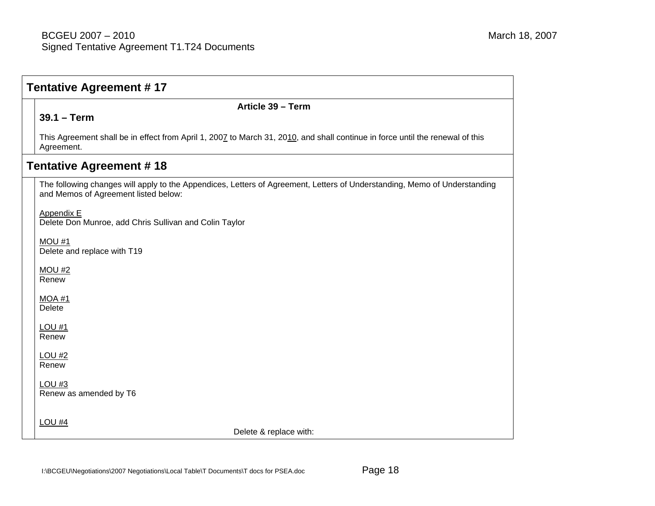| <b>Tentative Agreement #17</b> |                                                                                                                                                                   |  |  |  |  |
|--------------------------------|-------------------------------------------------------------------------------------------------------------------------------------------------------------------|--|--|--|--|
|                                | Article 39 - Term                                                                                                                                                 |  |  |  |  |
|                                | $39.1 - Term$                                                                                                                                                     |  |  |  |  |
|                                | This Agreement shall be in effect from April 1, 2007 to March 31, 2010, and shall continue in force until the renewal of this<br>Agreement.                       |  |  |  |  |
| <b>Tentative Agreement #18</b> |                                                                                                                                                                   |  |  |  |  |
|                                | The following changes will apply to the Appendices, Letters of Agreement, Letters of Understanding, Memo of Understanding<br>and Memos of Agreement listed below: |  |  |  |  |
|                                | <b>Appendix E</b><br>Delete Don Munroe, add Chris Sullivan and Colin Taylor                                                                                       |  |  |  |  |
|                                | MOU #1<br>Delete and replace with T19                                                                                                                             |  |  |  |  |
|                                | MOU#2<br>Renew                                                                                                                                                    |  |  |  |  |
|                                | <b>MOA #1</b><br>Delete                                                                                                                                           |  |  |  |  |
|                                | $LOU$ #1<br>Renew                                                                                                                                                 |  |  |  |  |
|                                | <b>LOU #2</b><br>Renew                                                                                                                                            |  |  |  |  |
|                                | LOU <sub>#3</sub><br>Renew as amended by T6                                                                                                                       |  |  |  |  |
|                                | <b>LOU #4</b><br>Delete & replace with:                                                                                                                           |  |  |  |  |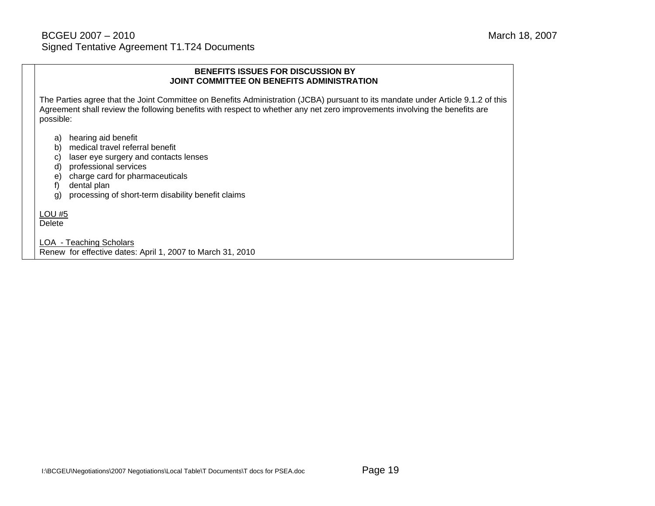#### **BENEFITS ISSUES FOR DISCUSSION BY JOINT COMMITTEE ON BENEFITS ADMINISTRATION**

The Parties agree that the Joint Committee on Benefits Administration (JCBA) pursuant to its mandate under Article 9.1.2 of this Agreement shall review the following benefits with respect to whether any net zero improvements involving the benefits are possible:

- a) hearing aid benefit
- b) medical travel referral benefit
- c) laser eye surgery and contacts lenses
- d) professional services
- e) charge card for pharmaceuticals
- f) dental plan
- g) processing of short-term disability benefit claims

LOU #5 Delete

LOA - Teaching Scholars

Renew for effective dates: April 1, 2007 to March 31, 2010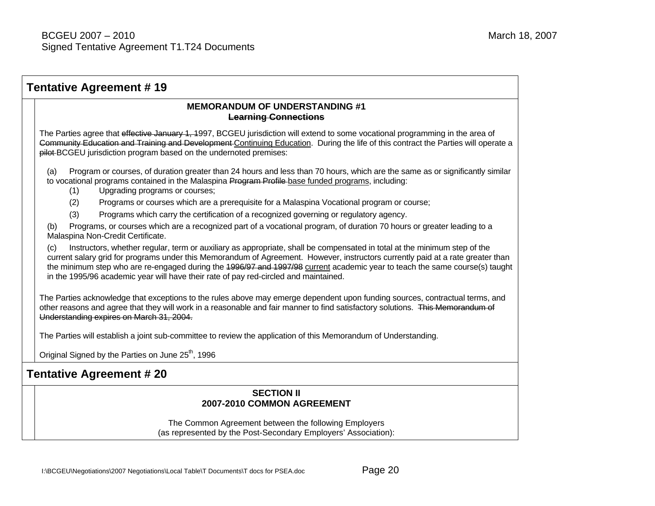## **Tentative Agreement # 19 MEMORANDUM OF UNDERSTANDING #1 Learning Connections** The Parties agree that effective January 1, 1997, BCGEU jurisdiction will extend to some vocational programming in the area of Community Education and Training and Development Continuing Education. During the life of this contract the Parties will operate a pilot BCGEU jurisdiction program based on the undernoted premises: Program or courses, of duration greater than 24 hours and less than 70 hours, which are the same as or significantly similar to vocational programs contained in the Malaspina Program Profile base funded programs, including: (1) Upgrading programs or courses; (2) Programs or courses which are a prerequisite for a Malaspina Vocational program or course; (3) Programs which carry the certification of a recognized governing or regulatory agency. (b) Programs, or courses which are a recognized part of a vocational program, of duration 70 hours or greater leading to a Malaspina Non-Credit Certificate. (c) Instructors, whether regular, term or auxiliary as appropriate, shall be compensated in total at the minimum step of the current salary grid for programs under this Memorandum of Agreement. However, instructors currently paid at a rate greater than the minimum step who are re-engaged during the 1996/97 and 1997/98 current academic year to teach the same course(s) taught in the 1995/96 academic year will have their rate of pay red-circled and maintained. The Parties acknowledge that exceptions to the rules above may emerge dependent upon funding sources, contractual terms, and other reasons and agree that they will work in a reasonable and fair manner to find satisfactory solutions. This Memorandum of Understanding expires on March 31, 2004. The Parties will establish a joint sub-committee to review the application of this Memorandum of Understanding. Original Signed by the Parties on June  $25<sup>th</sup>$ , 1996 **Tentative Agreement # 20 SECTION II 2007-2010 COMMON AGREEMENT** The Common Agreement between the following Employers (as represented by the Post-Secondary Employers' Association):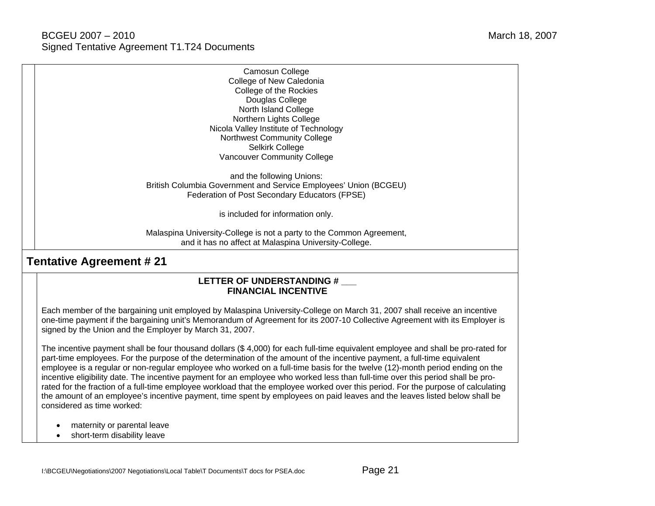| Camosun College                                                      |
|----------------------------------------------------------------------|
| College of New Caledonia                                             |
| College of the Rockies                                               |
| Douglas College                                                      |
| North Island College                                                 |
| Northern Lights College                                              |
| Nicola Valley Institute of Technology                                |
| Northwest Community College                                          |
| Selkirk College                                                      |
| <b>Vancouver Community College</b>                                   |
| and the following Unions:                                            |
| British Columbia Government and Service Employees' Union (BCGEU)     |
| Federation of Post Secondary Educators (FPSE)                        |
| is included for information only.                                    |
| Malaspina University-College is not a party to the Common Agreement, |

### **Tentative Agreement # 21**

### LETTER OF UNDERSTANDING # **FINANCIAL INCENTIVE**

and it has no affect at Malaspina University-College.

Each member of the bargaining unit employed by Malaspina University-College on March 31, 2007 shall receive an incentive one-time payment if the bargaining unit's Memorandum of Agreement for its 2007-10 Collective Agreement with its Employer is signed by the Union and the Employer by March 31, 2007.

The incentive payment shall be four thousand dollars (\$ 4,000) for each full-time equivalent employee and shall be pro-rated for part-time employees. For the purpose of the determination of the amount of the incentive payment, a full-time equivalent employee is a regular or non-regular employee who worked on a full-time basis for the twelve (12)-month period ending on the incentive eligibility date. The incentive payment for an employee who worked less than full-time over this period shall be prorated for the fraction of a full-time employee workload that the employee worked over this period. For the purpose of calculating the amount of an employee's incentive payment, time spent by employees on paid leaves and the leaves listed below shall be considered as time worked:

- maternity or parental leave
- short-term disability leave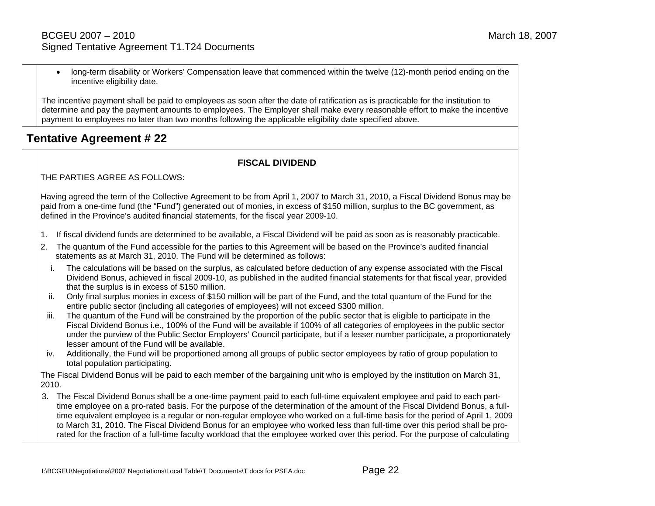• long-term disability or Workers' Compensation leave that commenced within the twelve (12)-month period ending on the incentive eligibility date.

The incentive payment shall be paid to employees as soon after the date of ratification as is practicable for the institution to determine and pay the payment amounts to employees. The Employer shall make every reasonable effort to make the incentive payment to employees no later than two months following the applicable eligibility date specified above.

## **Tentative Agreement # 22**

### **FISCAL DIVIDEND**

THE PARTIES AGREE AS FOLLOWS:

Having agreed the term of the Collective Agreement to be from April 1, 2007 to March 31, 2010, a Fiscal Dividend Bonus may be paid from a one-time fund (the "Fund") generated out of monies, in excess of \$150 million, surplus to the BC government, as defined in the Province's audited financial statements, for the fiscal year 2009-10.

- 1. If fiscal dividend funds are determined to be available, a Fiscal Dividend will be paid as soon as is reasonably practicable.
- 2. The quantum of the Fund accessible for the parties to this Agreement will be based on the Province's audited financial statements as at March 31, 2010. The Fund will be determined as follows:
	- i. The calculations will be based on the surplus, as calculated before deduction of any expense associated with the Fiscal Dividend Bonus, achieved in fiscal 2009-10, as published in the audited financial statements for that fiscal year, provided that the surplus is in excess of \$150 million.
	- ii. Only final surplus monies in excess of \$150 million will be part of the Fund, and the total quantum of the Fund for the entire public sector (including all categories of employees) will not exceed \$300 million.
- iii. The quantum of the Fund will be constrained by the proportion of the public sector that is eligible to participate in the Fiscal Dividend Bonus i.e., 100% of the Fund will be available if 100% of all categories of employees in the public sector under the purview of the Public Sector Employers' Council participate, but if a lesser number participate, a proportionately lesser amount of the Fund will be available.
- iv. Additionally, the Fund will be proportioned among all groups of public sector employees by ratio of group population to total population participating.

The Fiscal Dividend Bonus will be paid to each member of the bargaining unit who is employed by the institution on March 31, 2010.

3. The Fiscal Dividend Bonus shall be a one-time payment paid to each full-time equivalent employee and paid to each parttime employee on a pro-rated basis. For the purpose of the determination of the amount of the Fiscal Dividend Bonus, a fulltime equivalent employee is a regular or non-regular employee who worked on a full-time basis for the period of April 1, 2009 to March 31, 2010. The Fiscal Dividend Bonus for an employee who worked less than full-time over this period shall be prorated for the fraction of a full-time faculty workload that the employee worked over this period. For the purpose of calculating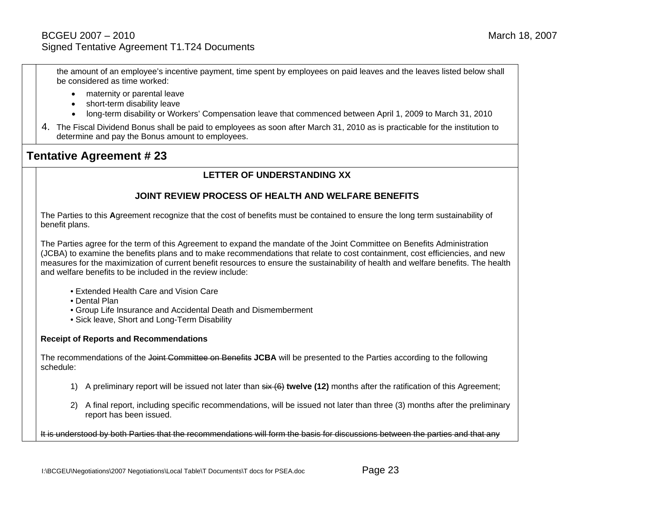the amount of an employee's incentive payment, time spent by employees on paid leaves and the leaves listed below shall be considered as time worked:

- maternity or parental leave
- short-term disability leave
- long-term disability or Workers' Compensation leave that commenced between April 1, 2009 to March 31, 2010
- 4. The Fiscal Dividend Bonus shall be paid to employees as soon after March 31, 2010 as is practicable for the institution to determine and pay the Bonus amount to employees.

### **Tentative Agreement # 23**

### **LETTER OF UNDERSTANDING XX**

### **JOINT REVIEW PROCESS OF HEALTH AND WELFARE BENEFITS**

The Parties to this **A**greement recognize that the cost of benefits must be contained to ensure the long term sustainability of benefit plans.

The Parties agree for the term of this Agreement to expand the mandate of the Joint Committee on Benefits Administration (JCBA) to examine the benefits plans and to make recommendations that relate to cost containment, cost efficiencies, and new measures for the maximization of current benefit resources to ensure the sustainability of health and welfare benefits. The health and welfare benefits to be included in the review include:

- Extended Health Care and Vision Care
- Dental Plan
- Group Life Insurance and Accidental Death and Dismemberment
- Sick leave, Short and Long-Term Disability

#### **Receipt of Reports and Recommendations**

The recommendations of the Joint Committee on Benefits **JCBA** will be presented to the Parties according to the following schedule:

- 1) A preliminary report will be issued not later than six (6) **twelve (12)** months after the ratification of this Agreement;
- 2) A final report, including specific recommendations, will be issued not later than three (3) months after the preliminary report has been issued.

It is understood by both Parties that the recommendations will form the basis for discussions between the parties and that any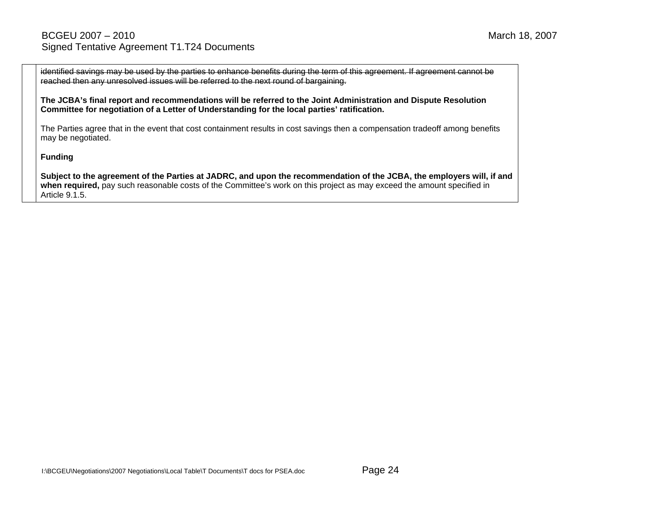identified savings may be used by the parties to enhance benefits during the term of this agreement. If agreement cannot be reached then any unresolved issues will be referred to the next round of bargaining.

**The JCBA's final report and recommendations will be referred to the Joint Administration and Dispute Resolution Committee for negotiation of a Letter of Understanding for the local parties' ratification.** 

The Parties agree that in the event that cost containment results in cost savings then a compensation tradeoff among benefits may be negotiated.

**Funding** 

**Subject to the agreement of the Parties at JADRC, and upon the recommendation of the JCBA, the employers will, if and when required,** pay such reasonable costs of the Committee's work on this project as may exceed the amount specified in Article 9.1.5.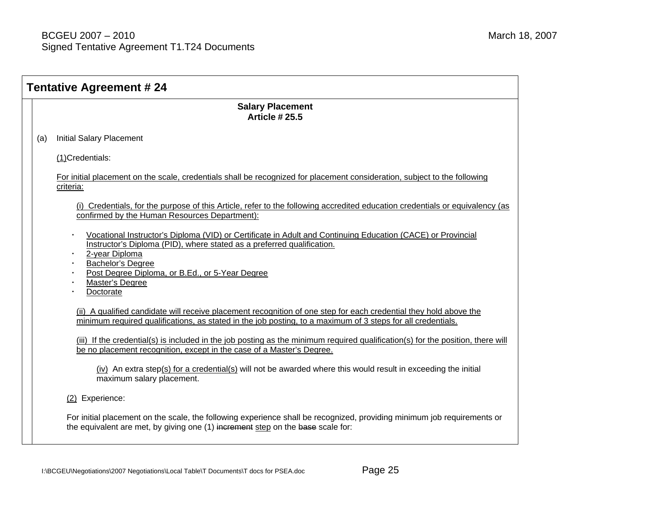| <b>Tentative Agreement #24</b> |                                                                                                                                                                                                                                                                                                                                             |  |  |  |
|--------------------------------|---------------------------------------------------------------------------------------------------------------------------------------------------------------------------------------------------------------------------------------------------------------------------------------------------------------------------------------------|--|--|--|
|                                | <b>Salary Placement</b><br><b>Article #25.5</b>                                                                                                                                                                                                                                                                                             |  |  |  |
| (a)                            | <b>Initial Salary Placement</b>                                                                                                                                                                                                                                                                                                             |  |  |  |
|                                | (1)Credentials:                                                                                                                                                                                                                                                                                                                             |  |  |  |
|                                | For initial placement on the scale, credentials shall be recognized for placement consideration, subject to the following<br>criteria:                                                                                                                                                                                                      |  |  |  |
|                                | (i) Credentials, for the purpose of this Article, refer to the following accredited education credentials or equivalency (as<br>confirmed by the Human Resources Department):                                                                                                                                                               |  |  |  |
|                                | Vocational Instructor's Diploma (VID) or Certificate in Adult and Continuing Education (CACE) or Provincial<br>Instructor's Diploma (PID), where stated as a preferred qualification.<br>2-year Diploma<br>· Bachelor's Degree<br>Post Degree Diploma, or B.Ed., or 5-Year Degree<br>$\bullet$<br>Master's Degree<br>$\bullet$<br>Doctorate |  |  |  |
|                                | (ii) A qualified candidate will receive placement recognition of one step for each credential they hold above the<br>minimum required qualifications, as stated in the job posting, to a maximum of 3 steps for all credentials.                                                                                                            |  |  |  |
|                                | (iii) If the credential(s) is included in the job posting as the minimum required qualification(s) for the position, there will<br>be no placement recognition, except in the case of a Master's Degree.                                                                                                                                    |  |  |  |
|                                | (iv) An extra step(s) for a credential(s) will not be awarded where this would result in exceeding the initial<br>maximum salary placement.                                                                                                                                                                                                 |  |  |  |
|                                | (2) Experience:                                                                                                                                                                                                                                                                                                                             |  |  |  |
|                                | For initial placement on the scale, the following experience shall be recognized, providing minimum job requirements or<br>the equivalent are met, by giving one (1) increment step on the base scale for:                                                                                                                                  |  |  |  |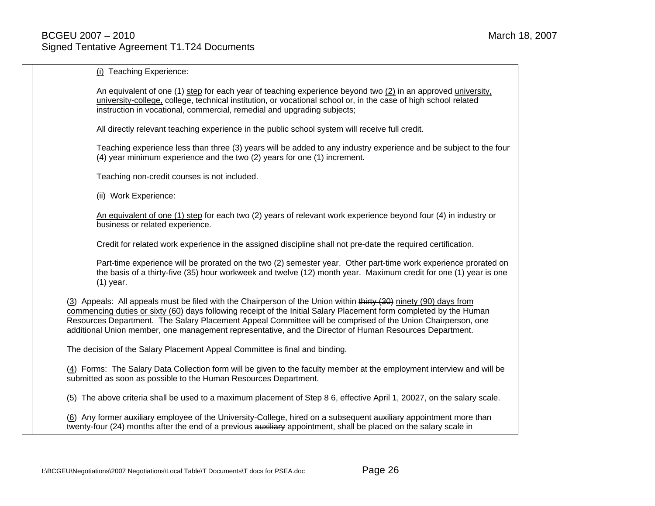(i) Teaching Experience:

An equivalent of one (1) step for each year of teaching experience beyond two (2) in an approved university, university-college, college, technical institution, or vocational school or, in the case of high school related instruction in vocational, commercial, remedial and upgrading subjects;

All directly relevant teaching experience in the public school system will receive full credit.

Teaching experience less than three (3) years will be added to any industry experience and be subject to the four (4) year minimum experience and the two (2) years for one (1) increment.

Teaching non-credit courses is not included.

(ii) Work Experience:

An equivalent of one (1) step for each two (2) years of relevant work experience beyond four (4) in industry or business or related experience.

Credit for related work experience in the assigned discipline shall not pre-date the required certification.

Part-time experience will be prorated on the two (2) semester year. Other part-time work experience prorated on the basis of a thirty-five (35) hour workweek and twelve (12) month year. Maximum credit for one (1) year is one (1) year.

(3) Appeals: All appeals must be filed with the Chairperson of the Union within thirty (30) ninety (90) days from commencing duties or sixty (60) days following receipt of the Initial Salary Placement form completed by the Human Resources Department. The Salary Placement Appeal Committee will be comprised of the Union Chairperson, one additional Union member, one management representative, and the Director of Human Resources Department.

The decision of the Salary Placement Appeal Committee is final and binding.

(4) Forms: The Salary Data Collection form will be given to the faculty member at the employment interview and will be submitted as soon as possible to the Human Resources Department.

(<u>5</u>) The above criteria shall be used to a maximum <u>placement</u> of Step 8 <u>6,</u> effective April 1, 2002<u>7</u>, on the salary scale.

(6) Any former auxiliary employee of the University-College, hired on a subsequent auxiliary appointment more than twenty-four (24) months after the end of a previous auxiliary appointment, shall be placed on the salary scale in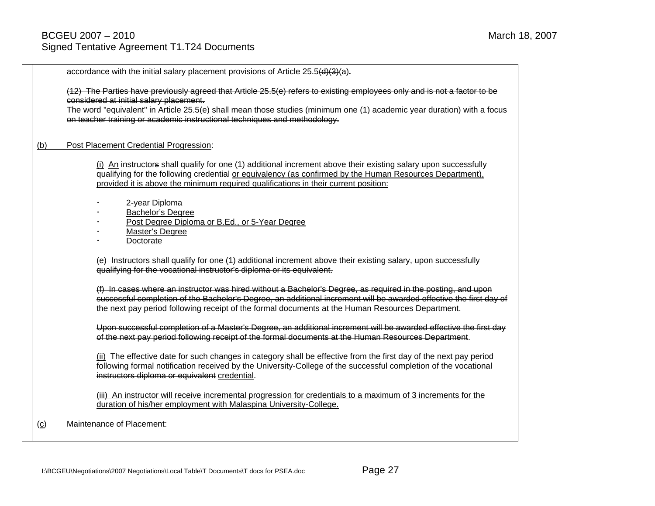accordance with the initial salary placement provisions of Article 25.5(d)(3)(a)*.* 

(12) The Parties have previously agreed that Article 25.5(e) refers to existing employees only and is not a factor to be considered at initial salary placement.

The word "equivalent" in Article 25.5(e) shall mean those studies (minimum one (1) academic year duration) with a focus on teacher training or academic instructional techniques and methodology.

#### (b) Post Placement Credential Progression:

(i) An instructors shall qualify for one (1) additional increment above their existing salary upon successfully qualifying for the following credential or equivalency (as confirmed by the Human Resources Department), provided it is above the minimum required qualifications in their current position:

- 2-year Diploma
- Bachelor's Degree
- Post Degree Diploma or B.Ed., or 5-Year Degree
- Master's Degree
- Doctorate

(e) Instructors shall qualify for one (1) additional increment above their existing salary, upon successfully qualifying for the vocational instructor's diploma or its equivalent.

(f) In cases where an instructor was hired without a Bachelor's Degree, as required in the posting, and upon successful completion of the Bachelor's Degree, an additional increment will be awarded effective the first day of the next pay period following receipt of the formal documents at the Human Resources Department.

Upon successful completion of a Master's Degree, an additional increment will be awarded effective the first day of the next pay period following receipt of the formal documents at the Human Resources Department.

(ii) The effective date for such changes in category shall be effective from the first day of the next pay period following formal notification received by the University-College of the successful completion of the vocational instructors diploma or equivalent credential.

(iii) An instructor will receive incremental progression for credentials to a maximum of 3 increments for the duration of his/her employment with Malaspina University-College.

(c) Maintenance of Placement: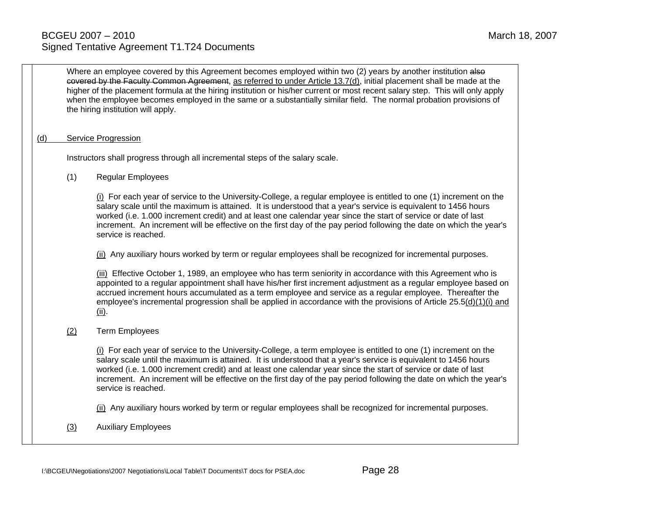|     | Where an employee covered by this Agreement becomes employed within two (2) years by another institution also<br>covered by the Faculty Common Agreement, as referred to under Article 13.7(d), initial placement shall be made at the<br>higher of the placement formula at the hiring institution or his/her current or most recent salary step. This will only apply<br>when the employee becomes employed in the same or a substantially similar field. The normal probation provisions of<br>the hiring institution will apply. |                                                                                                                                                                                                                                                                                                                                                                                                                                                                                                      |  |  |  |  |  |  |
|-----|--------------------------------------------------------------------------------------------------------------------------------------------------------------------------------------------------------------------------------------------------------------------------------------------------------------------------------------------------------------------------------------------------------------------------------------------------------------------------------------------------------------------------------------|------------------------------------------------------------------------------------------------------------------------------------------------------------------------------------------------------------------------------------------------------------------------------------------------------------------------------------------------------------------------------------------------------------------------------------------------------------------------------------------------------|--|--|--|--|--|--|
| (d) |                                                                                                                                                                                                                                                                                                                                                                                                                                                                                                                                      | <b>Service Progression</b>                                                                                                                                                                                                                                                                                                                                                                                                                                                                           |  |  |  |  |  |  |
|     |                                                                                                                                                                                                                                                                                                                                                                                                                                                                                                                                      | Instructors shall progress through all incremental steps of the salary scale.                                                                                                                                                                                                                                                                                                                                                                                                                        |  |  |  |  |  |  |
|     | (1)                                                                                                                                                                                                                                                                                                                                                                                                                                                                                                                                  | Regular Employees                                                                                                                                                                                                                                                                                                                                                                                                                                                                                    |  |  |  |  |  |  |
|     |                                                                                                                                                                                                                                                                                                                                                                                                                                                                                                                                      | (i) For each year of service to the University-College, a regular employee is entitled to one (1) increment on the<br>salary scale until the maximum is attained. It is understood that a year's service is equivalent to 1456 hours<br>worked (i.e. 1.000 increment credit) and at least one calendar year since the start of service or date of last<br>increment. An increment will be effective on the first day of the pay period following the date on which the year's<br>service is reached. |  |  |  |  |  |  |
|     |                                                                                                                                                                                                                                                                                                                                                                                                                                                                                                                                      | (ii) Any auxiliary hours worked by term or regular employees shall be recognized for incremental purposes.                                                                                                                                                                                                                                                                                                                                                                                           |  |  |  |  |  |  |
|     |                                                                                                                                                                                                                                                                                                                                                                                                                                                                                                                                      | (iii) Effective October 1, 1989, an employee who has term seniority in accordance with this Agreement who is<br>appointed to a regular appointment shall have his/her first increment adjustment as a regular employee based on<br>accrued increment hours accumulated as a term employee and service as a regular employee. Thereafter the<br>employee's incremental progression shall be applied in accordance with the provisions of Article 25.5(d)(1)(i) and<br>(ii).                           |  |  |  |  |  |  |
|     | (2)                                                                                                                                                                                                                                                                                                                                                                                                                                                                                                                                  | <b>Term Employees</b>                                                                                                                                                                                                                                                                                                                                                                                                                                                                                |  |  |  |  |  |  |
|     |                                                                                                                                                                                                                                                                                                                                                                                                                                                                                                                                      | (i) For each year of service to the University-College, a term employee is entitled to one (1) increment on the<br>salary scale until the maximum is attained. It is understood that a year's service is equivalent to 1456 hours<br>worked (i.e. 1.000 increment credit) and at least one calendar year since the start of service or date of last<br>increment. An increment will be effective on the first day of the pay period following the date on which the year's<br>service is reached.    |  |  |  |  |  |  |
|     |                                                                                                                                                                                                                                                                                                                                                                                                                                                                                                                                      | (ii) Any auxiliary hours worked by term or regular employees shall be recognized for incremental purposes.                                                                                                                                                                                                                                                                                                                                                                                           |  |  |  |  |  |  |
|     | (3)                                                                                                                                                                                                                                                                                                                                                                                                                                                                                                                                  | <b>Auxiliary Employees</b>                                                                                                                                                                                                                                                                                                                                                                                                                                                                           |  |  |  |  |  |  |